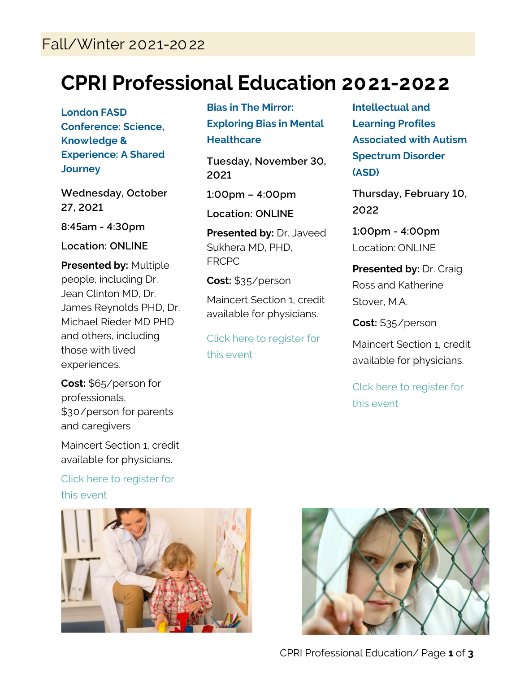## **CPRI Professional Education 2021-2022**

**London FASD Conference: Science, Knowledge & Experience: A Shared Journey**

**Wednesday, October 27, 2021**

**8:45am - 4:30pm**

**Location: ONLINE**

**Presented by:** Multiple people, including Dr. Jean Clinton MD, Dr. James Reynolds PHD, Dr. Michael Rieder MD PHD and others, including those with lived experiences.

**Cost:** \$65/person for professionals, \$30/person for parents and caregivers

Maincert Section 1, credit available for physicians.

[Click here to register for](http://events.r20.constantcontact.com/register/event?oeidk=a07eihu04p5a4270962&llr=54n6segab)  [this event](http://events.r20.constantcontact.com/register/event?oeidk=a07eihu04p5a4270962&llr=54n6segab)



## **Bias in The Mirror: Exploring Bias in Mental Healthcare**

**Tuesday, November 30, 2021**

**1:00pm – 4:00pm**

**Location: ONLINE**

**Presented by:** Dr. Javeed Sukhera MD, PHD, FRCPC

**Cost:** \$35/person

Maincert Section 1, credit available for physicians.

[Click here to register for](http://events.r20.constantcontact.com/register/event?oeidk=a07eiiuzon227ca445c&llr=54n6segab)  [this event](http://events.r20.constantcontact.com/register/event?oeidk=a07eiiuzon227ca445c&llr=54n6segab)

**Intellectual and Learning Profiles Associated with Autism Spectrum Disorder (ASD)**

**Thursday, February 10, 2022**

**1:00pm - 4:00pm** Location: ONLINE

**Presented by:** Dr. Craig Ross and Katherine Stover, M.A.

**Cost:** \$35/person

Maincert Section 1, credit available for physicians.

[Clck here to register for](http://events.r20.constantcontact.com/register/event?oeidk=a07eija73hqbdb641ca&llr=54n6segab)  [this event](http://events.r20.constantcontact.com/register/event?oeidk=a07eija73hqbdb641ca&llr=54n6segab)



CPRI Professional Education/ Page **1** of **3**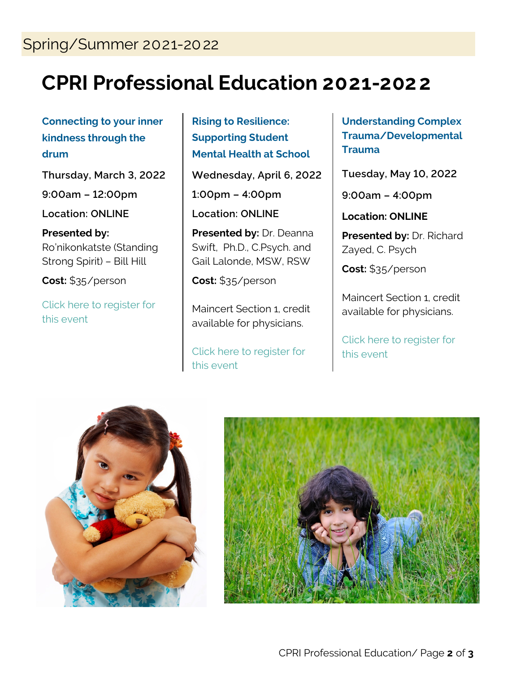## **CPRI Professional Education 2021-2022**

**Connecting to your inner kindness through the drum**

**Thursday, March 3, 2022**

**9:00am – 12:00pm**

**Location: ONLINE**

**Presented by:** Ro'nikonkatste (Standing Strong Spirit) – Bill Hill

**Cost:** \$35/person

[Click here to register for](http://events.constantcontact.com/register/event?llr=54n6segab&oeidk=a07eija2fsg8393415f)  [this event](http://events.constantcontact.com/register/event?llr=54n6segab&oeidk=a07eija2fsg8393415f)

**Rising to Resilience: Supporting Student Mental Health at School**

**Wednesday, April 6, 2022 1:00pm – 4:00pm Location: ONLINE**

**Presented by:** Dr. Deanna Swift, Ph.D., C.Psych. and Gail Lalonde, MSW, RSW

**Cost:** \$35/person

Maincert Section 1, credit available for physicians.

[Click here to register for](http://events.constantcontact.com/register/event?llr=54n6segab&oeidk=a07ein0u34l8eb8243a)  [this event](http://events.constantcontact.com/register/event?llr=54n6segab&oeidk=a07ein0u34l8eb8243a)

**Understanding Complex Trauma/Developmental Trauma** 

**Tuesday, May 10, 2022**

**9:00am – 4:00pm**

**Location: ONLINE**

**Presented by:** Dr. Richard Zayed, C. Psych

**Cost:** \$35/person

Maincert Section 1, credit available for physicians.

[Click here to register for](http://events.constantcontact.com/register/event?llr=54n6segab&oeidk=a07eijftkuxbb268e0e)  [this event](http://events.constantcontact.com/register/event?llr=54n6segab&oeidk=a07eijftkuxbb268e0e)